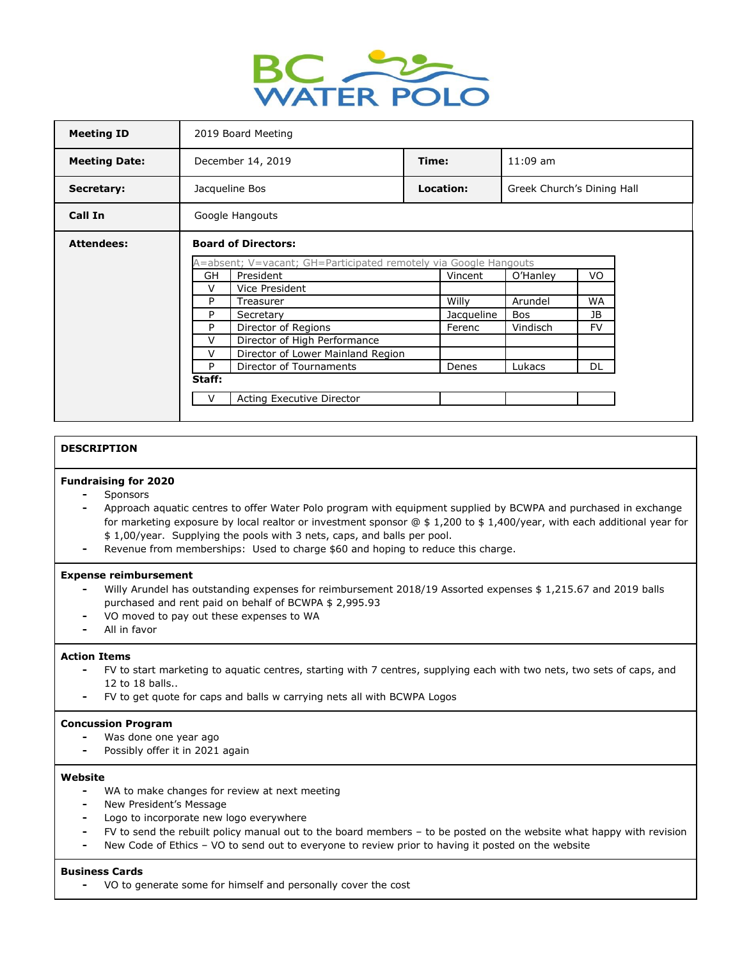

| <b>Meeting ID</b>    | 2019 Board Meeting                                                                                          |                                   |       |            |                            |           |  |
|----------------------|-------------------------------------------------------------------------------------------------------------|-----------------------------------|-------|------------|----------------------------|-----------|--|
| <b>Meeting Date:</b> | December 14, 2019                                                                                           |                                   | Time: |            | $11:09$ am                 |           |  |
| Secretary:           | Jacqueline Bos                                                                                              |                                   |       | Location:  | Greek Church's Dining Hall |           |  |
| Call In              | Google Hangouts                                                                                             |                                   |       |            |                            |           |  |
| <b>Attendees:</b>    | <b>Board of Directors:</b>                                                                                  |                                   |       |            |                            |           |  |
|                      | A=absent; V=vacant; GH=Participated remotely via Google Hangouts<br><b>GH</b><br>President<br>VO<br>Vincent |                                   |       |            |                            |           |  |
|                      |                                                                                                             |                                   |       |            | O'Hanley                   |           |  |
|                      | V                                                                                                           | Vice President                    |       |            |                            |           |  |
|                      | P                                                                                                           | Treasurer                         |       | Willy      | Arundel                    | <b>WA</b> |  |
|                      | P                                                                                                           | Secretary                         |       | Jacqueline | Bos                        | JB        |  |
|                      | P                                                                                                           | Director of Regions               |       | Ferenc     | Vindisch                   | <b>FV</b> |  |
|                      | V                                                                                                           | Director of High Performance      |       |            |                            |           |  |
|                      | V                                                                                                           | Director of Lower Mainland Region |       |            |                            |           |  |
|                      | P                                                                                                           | Director of Tournaments           |       | Denes      | Lukacs                     | DL        |  |
|                      | Staff:                                                                                                      |                                   |       |            |                            |           |  |
|                      | V                                                                                                           | Acting Executive Director         |       |            |                            |           |  |
|                      |                                                                                                             |                                   |       |            |                            |           |  |

# **DESCRIPTION**

# **Fundraising for 2020**

- **-** Sponsors
- **-** Approach aquatic centres to offer Water Polo program with equipment supplied by BCWPA and purchased in exchange for marketing exposure by local realtor or investment sponsor  $@$  \$ 1,200 to \$ 1,400/year, with each additional year for \$ 1,00/year. Supplying the pools with 3 nets, caps, and balls per pool.
- **-** Revenue from memberships: Used to charge \$60 and hoping to reduce this charge.

## **Expense reimbursement**

- **-** Willy Arundel has outstanding expenses for reimbursement 2018/19 Assorted expenses \$ 1,215.67 and 2019 balls purchased and rent paid on behalf of BCWPA \$ 2,995.93
- **-** VO moved to pay out these expenses to WA
- **-** All in favor

#### **Action Items**

- **-** FV to start marketing to aquatic centres, starting with 7 centres, supplying each with two nets, two sets of caps, and 12 to 18 balls..
- **-** FV to get quote for caps and balls w carrying nets all with BCWPA Logos

#### **Concussion Program**

- **-** Was done one year ago
- **-** Possibly offer it in 2021 again

#### **Website**

- **-** WA to make changes for review at next meeting
- **-** New President's Message
- **-** Logo to incorporate new logo everywhere
- **-** FV to send the rebuilt policy manual out to the board members to be posted on the website what happy with revision
- **-** New Code of Ethics VO to send out to everyone to review prior to having it posted on the website

# **Business Cards**

**-** VO to generate some for himself and personally cover the cost